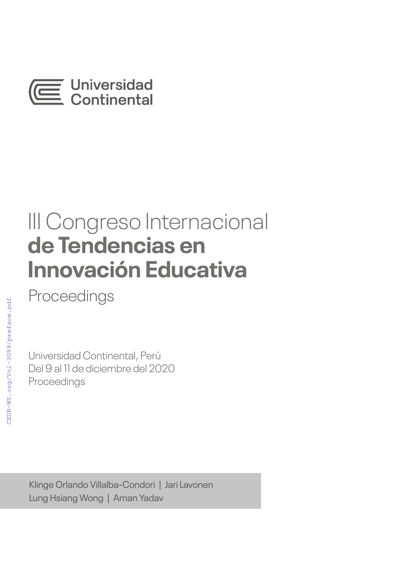

# III Congreso Internacional **de Tendencias en Innovación Educativa**

Proceedings

Universidad Continental, Perú Del 9 al 11 de diciembre del 2020 Proceedings

Klinge Orlando Villalba-Condori | Jari Lavonen Lung Hsiang Wong | Aman Yadav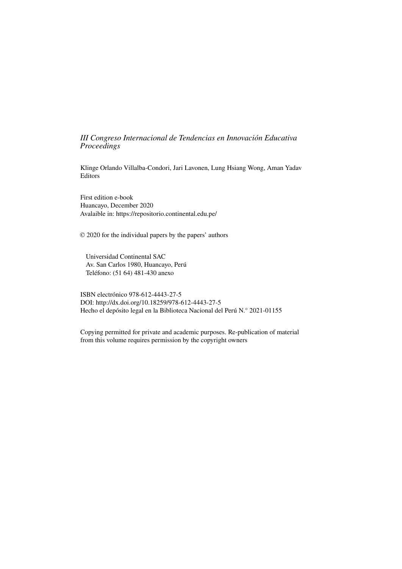### *III Congreso Internacional de Tendencias en Innovación Educativa Proceedings*

Klinge Orlando Villalba-Condori, Jari Lavonen, Lung Hsiang Wong, Aman Yadav Editors

First edition e-book Huancayo, December 2020 Avalaible in: https://repositorio.continental.edu.pe/

© 2020 for the individual papers by the papers' authors

Universidad Continental SAC Av. San Carlos 1980, Huancayo, Perú Teléfono: (51 64) 481-430 anexo

ISBN electrónico 978-612-4443-27-5 DOI: http://dx.doi.org/10.18259/978-612-4443-27-5 Hecho el depósito legal en la Biblioteca Nacional del Perú N.° 2021-01155

Copying permitted for private and academic purposes. Re-publication of material from this volume requires permission by the copyright owners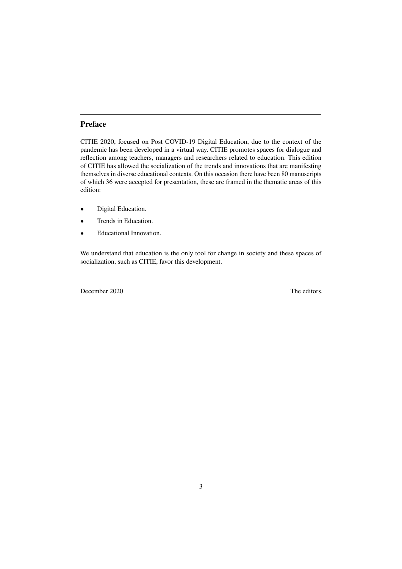## **Preface**

CITIE 2020, focused on Post COVID-19 Digital Education, due to the context of the pandemic has been developed in a virtual way. CITIE promotes spaces for dialogue and reflection among teachers, managers and researchers related to education. This edition of CITIE has allowed the socialization of the trends and innovations that are manifesting themselves in diverse educational contexts. On this occasion there have been 80 manuscripts of which 36 were accepted for presentation, these are framed in the thematic areas of this edition:

- Digital Education.
- Trends in Education.
- Educational Innovation.

We understand that education is the only tool for change in society and these spaces of socialization, such as CITIE, favor this development.

December 2020 The editors.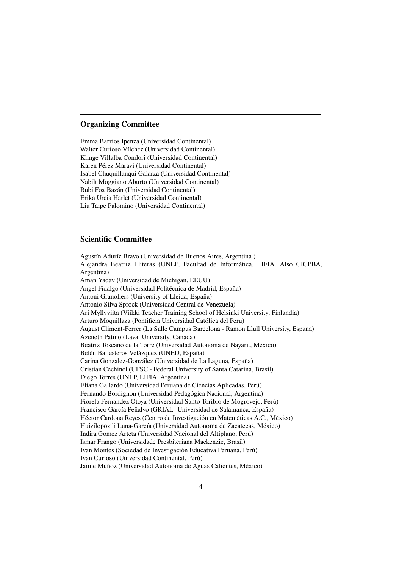#### **Organizing Committee**

Emma Barrios Ipenza (Universidad Continental) Walter Curioso Vílchez (Universidad Continental) Klinge Villalba Condori (Universidad Continental) Karen Pérez Maravi (Universidad Continental) Isabel Chuquillanqui Galarza (Universidad Continental) Nabilt Moggiano Aburto (Universidad Continental) Rubi Fox Bazán (Universidad Continental) Erika Urcia Harlet (Universidad Continental) Liu Taipe Palomino (Universidad Continental)

#### **Scientific Committee**

Agustín Aduríz Bravo (Universidad de Buenos Aires, Argentina ) Alejandra Beatriz Lliteras (UNLP, Facultad de Informática, LIFIA. Also CICPBA, Argentina) Aman Yadav (Universidad de Michigan, EEUU) Angel Fidalgo (Universidad Politécnica de Madrid, España) Antoni Granollers (University of Lleida, España) Antonio Silva Sprock (Universidad Central de Venezuela) Ari Myllyviita (Viikki Teacher Training School of Helsinki University, Finlandia) Arturo Moquillaza (Pontificia Universidad Católica del Perú) August Climent-Ferrer (La Salle Campus Barcelona - Ramon Llull University, España) Azeneth Patino (Laval University, Canada) Beatriz Toscano de la Torre (Universidad Autonoma de Nayarit, México) Belén Ballesteros Velázquez (UNED, España) Carina Gonzalez-González (Universidad de La Laguna, España) Cristian Cechinel (UFSC - Federal University of Santa Catarina, Brasil) Diego Torres (UNLP, LIFIA, Argentina) Eliana Gallardo (Universidad Peruana de Ciencias Aplicadas, Perú) Fernando Bordignon (Universidad Pedagógica Nacional, Argentina) Fiorela Fernandez Otoya (Universidad Santo Toribio de Mogrovejo, Perú) Francisco García Peñalvo (GRIAL- Universidad de Salamanca, España) Héctor Cardona Reyes (Centro de Investigación en Matemáticas A.C., México) Huizilopoztli Luna-García (Universidad Autonoma de Zacatecas, México) Indira Gomez Arteta (Universidad Nacional del Altiplano, Perú) Ismar Frango (Universidade Presbiteriana Mackenzie, Brasil) Ivan Montes (Sociedad de Investigación Educativa Peruana, Perú) Ivan Curioso (Universidad Continental, Perú) Jaime Muñoz (Universidad Autonoma de Aguas Calientes, México)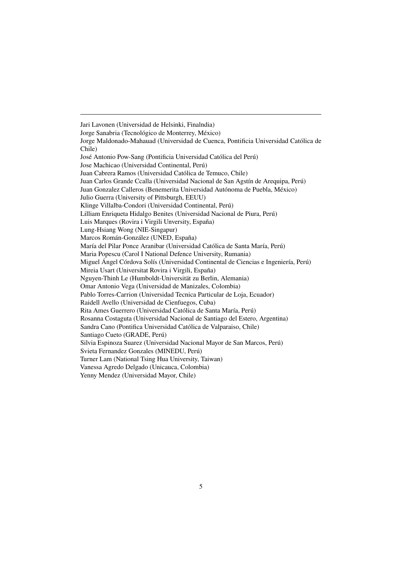Jari Lavonen (Universidad de Helsinki, Finalndia) Jorge Sanabria (Tecnológico de Monterrey, México) Jorge Maldonado-Mahauad (Universidad de Cuenca, Pontificia Universidad Católica de Chile) José Antonio Pow-Sang (Pontificia Universidad Católica del Perú) Jose Machicao (Universidad Continental, Perú) Juan Cabrera Ramos (Universidad Católica de Temuco, Chile) Juan Carlos Grande Ccalla (Universidad Nacional de San Agstín de Arequipa, Perú) Juan Gonzalez Calleros (Benemerita Universidad Autónoma de Puebla, México) Julio Guerra (University of Pittsburgh, EEUU) Klinge Villalba-Condori (Universidad Continental, Perú) Lilliam Enriqueta Hidalgo Benites (Universidad Nacional de Piura, Perú) Luis Marques (Rovira i Virgili Unversity, España) Lung-Hsiang Wong (NIE-Singapur) Marcos Román-González (UNED, España) María del Pilar Ponce Aranibar (Universidad Católica de Santa María, Perú) Maria Popescu (Carol I National Defence University, Rumania) Miguel Ángel Córdova Solís (Universidad Continental de Ciencias e Ingeniería, Perú) Mireia Usart (Universitat Rovira i Virgili, España) Nguyen-Thinh Le (Humboldt-Universität zu Berlin, Alemania) Omar Antonio Vega (Universidad de Manizales, Colombia) Pablo Torres-Carrion (Universidad Tecnica Particular de Loja, Ecuador) Raidell Avello (Universidad de Cienfuegos, Cuba) Rita Ames Guerrero (Universidad Católica de Santa María, Perú) Rosanna Costaguta (Universidad Nacional de Santiago del Estero, Argentina) Sandra Cano (Pontifica Universidad Católica de Valparaiso, Chile) Santiago Cueto (GRADE, Perú) Silvia Espinoza Suarez (Universidad Nacional Mayor de San Marcos, Perú) Svieta Fernandez Gonzales (MINEDU, Perú) Turner Lam (National Tsing Hua University, Taiwan) Vanessa Agredo Delgado (Unicauca, Colombia) Yenny Mendez (Universidad Mayor, Chile)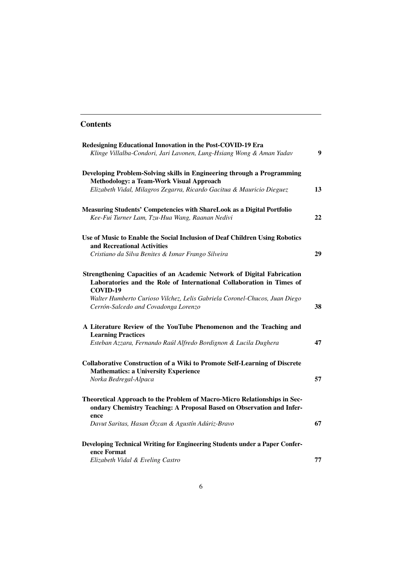# <span id="page-5-0"></span>**Contents**

| Redesigning Educational Innovation in the Post-COVID-19 Era                      |                  |
|----------------------------------------------------------------------------------|------------------|
| Klinge Villalba-Condori, Jari Lavonen, Lung-Hsiang Wong & Aman Yadav             | $\boldsymbol{9}$ |
| Developing Problem-Solving skills in Engineering through a Programming           |                  |
| <b>Methodology: a Team-Work Visual Approach</b>                                  |                  |
| Elizabeth Vidal, Milagros Zegarra, Ricardo Gacitua & Mauricio Dieguez            | 13               |
| Measuring Students' Competencies with ShareLook as a Digital Portfolio           |                  |
| Kee-Fui Turner Lam, Tzu-Hua Wang, Raanan Nedivi                                  | 22               |
| Use of Music to Enable the Social Inclusion of Deaf Children Using Robotics      |                  |
| and Recreational Activities                                                      |                  |
| Cristiano da Silva Benites & Ismar Frango Silveira                               | 29               |
| Strengthening Capacities of an Academic Network of Digital Fabrication           |                  |
| Laboratories and the Role of International Collaboration in Times of<br>COVID-19 |                  |
| Walter Humberto Curioso Vilchez, Lelis Gabriela Coronel-Chucos, Juan Diego       |                  |
| Cerrón-Salcedo and Covadonga Lorenzo                                             | 38               |
| A Literature Review of the YouTube Phenomenon and the Teaching and               |                  |
| <b>Learning Practices</b>                                                        |                  |
| Esteban Azzara, Fernando Raúl Alfredo Bordignon & Lucila Dughera                 | 47               |
| <b>Collaborative Construction of a Wiki to Promote Self-Learning of Discrete</b> |                  |
| <b>Mathematics: a University Experience</b>                                      |                  |
| Norka Bedregal-Alpaca                                                            | 57               |
| Theoretical Approach to the Problem of Macro-Micro Relationships in Sec-         |                  |
| ondary Chemistry Teaching: A Proposal Based on Observation and Infer-<br>ence    |                  |
| Davut Saritas, Hasan Özcan & Agustín Adúriz-Bravo                                | 67               |
| Developing Technical Writing for Engineering Students under a Paper Confer-      |                  |
| ence Format                                                                      |                  |
| Elizabeth Vidal & Eveling Castro                                                 | 77               |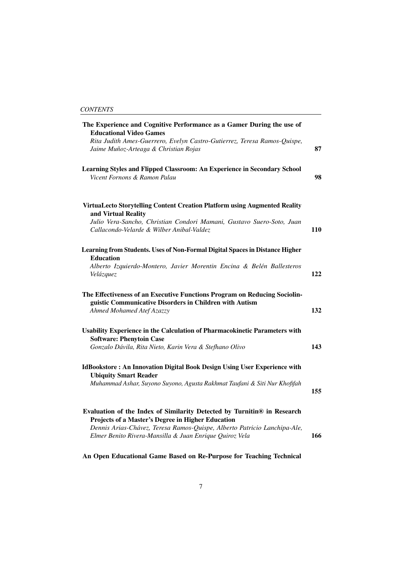| The Experience and Cognitive Performance as a Gamer During the use of<br><b>Educational Video Games</b>                                                           |     |
|-------------------------------------------------------------------------------------------------------------------------------------------------------------------|-----|
| Rita Judith Ames-Guerrero, Evelyn Castro-Gutierrez, Teresa Ramos-Quispe,<br>Jaime Muñoz-Arteaga & Christian Rojas                                                 | 87  |
| Learning Styles and Flipped Classroom: An Experience in Secondary School<br>Vicent Fornons & Ramon Palau                                                          | 98  |
| VirtuaLecto Storytelling Content Creation Platform using Augmented Reality<br>and Virtual Reality                                                                 |     |
| Julio Vera-Sancho, Christian Condori Mamani, Gustavo Suero-Soto, Juan<br>Callacondo-Velarde & Wilber Anibal-Valdez                                                | 110 |
| Learning from Students. Uses of Non-Formal Digital Spaces in Distance Higher<br><b>Education</b>                                                                  |     |
| Alberto Izquierdo-Montero, Javier Morentin Encina & Belén Ballesteros<br>Velázquez                                                                                | 122 |
| The Effectiveness of an Executive Functions Program on Reducing Sociolin-<br>guistic Communicative Disorders in Children with Autism<br>Ahmed Mohamed Atef Azazzy | 132 |
| Usability Experience in the Calculation of Pharmacokinetic Parameters with<br><b>Software: Phenytoin Case</b>                                                     |     |
| Gonzalo Dávila, Rita Nieto, Karin Vera & Stefhano Olivo                                                                                                           | 143 |
| <b>IdBookstore: An Innovation Digital Book Design Using User Experience with</b><br><b>Ubiquity Smart Reader</b>                                                  |     |
| Muhammad Ashar, Suyono Suyono, Agusta Rakhmat Taufani & Siti Nur Khofifah                                                                                         | 155 |
| Evaluation of the Index of Similarity Detected by Turnitin® in Research<br>Projects of a Master's Degree in Higher Education                                      |     |
| Dennis Arias-Chávez, Teresa Ramos-Quispe, Alberto Patricio Lanchipa-Ale,<br>Elmer Benito Rivera-Mansilla & Juan Enrique Quiroz Vela                               | 166 |

**[An Open Educational Game Based on Re-Purpose for Teaching Technical](#page-5-0)**